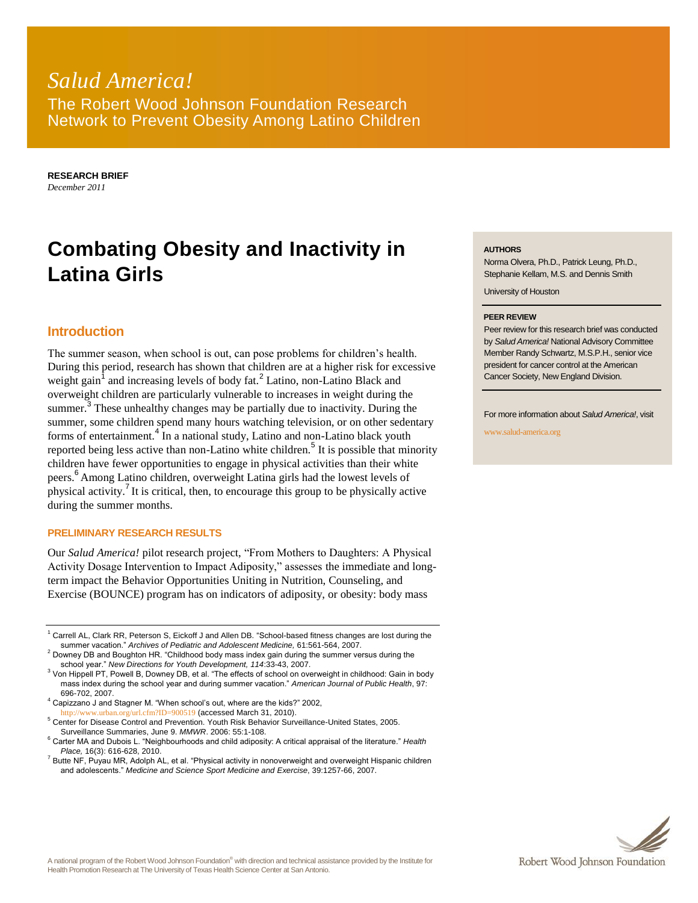# *Salud America!* The Robert Wood Johnson Foundation Research Network to Prevent Obesity Among Latino Children

**RESEARCH BRIEF** *December 2011*

# **Combating Obesity and Inactivity in Latina Girls**

## **Introduction**

The summer season, when school is out, can pose problems for children's health. During this period, research has shown that children are at a higher risk for excessive weight gain<sup>1</sup> and increasing levels of body fat.<sup>2</sup> Latino, non-Latino Black and overweight children are particularly vulnerable to increases in weight during the summer.<sup>3</sup> These unhealthy changes may be partially due to inactivity. During the summer, some children spend many hours watching television, or on other sedentary forms of entertainment.<sup>4</sup> In a national study, Latino and non-Latino black youth reported being less active than non-Latino white children.<sup>5</sup> It is possible that minority children have fewer opportunities to engage in physical activities than their white peers. <sup>6</sup> Among Latino children, overweight Latina girls had the lowest levels of physical activity.<sup>7</sup> It is critical, then, to encourage this group to be physically active during the summer months.

#### **PRELIMINARY RESEARCH RESULTS**

Our *Salud America!* pilot research project, "From Mothers to Daughters: A Physical Activity Dosage Intervention to Impact Adiposity," assesses the immediate and longterm impact the Behavior Opportunities Uniting in Nutrition, Counseling, and Exercise (BOUNCE) program has on indicators of adiposity, or obesity: body mass

<sup>3</sup> Von Hippell PT, Powell B, Downey DB, et al. "The effects of school on overweight in childhood: Gain in body mass index during the school year and during summer vacation." *American Journal of Public Health*, 97: 696-702, 2007.

#### **AUTHORS**

Norma Olvera, Ph.D., Patrick Leung, Ph.D., Stephanie Kellam, M.S. and Dennis Smith

University of Houston

#### **PEER REVIEW**

Peer review for this research brief was conducted by *Salud America!* National Advisory Committee Member Randy Schwartz, M.S.P.H., senior vice president for cancer control at the American Cancer Society, New England Division.

For more information about *Salud America!*, visit

www.salud-america.org



<sup>1</sup> Carrell AL, Clark RR, Peterson S, Eickoff J and Allen DB. "School-based fitness changes are lost during the summer vacation." *Archives of Pediatric and Adolescent Medicine,* 61:561-564, 2007.

 $2$  Downey DB and Boughton HR. "Childhood body mass index gain during the summer versus during the school year." *New Directions for Youth Development, 114*:33-43, 2007.

<sup>4</sup> Capizzano J and Stagner M. "When school's out, where are the kids?" 2002, <http://www.urban.org/url.cfm?ID=900519> (accessed March 31, 2010).

<sup>5</sup> Center for Disease Control and Prevention. Youth Risk Behavior Surveillance-United States, 2005. Surveillance Summaries, June 9. *MMWR*. 2006: 55:1-108.

<sup>6</sup> Carter MA and Dubois L. "Neighbourhoods and child adiposity: A critical appraisal of the literature." *Health Place,* 16(3): 616-628, 2010.

 $^7$  Butte NF, Puyau MR, Adolph AL, et al. "Physical activity in nonoverweight and overweight Hispanic children and adolescents." *Medicine and Science Sport Medicine and Exercise*, 39:1257-66, 2007.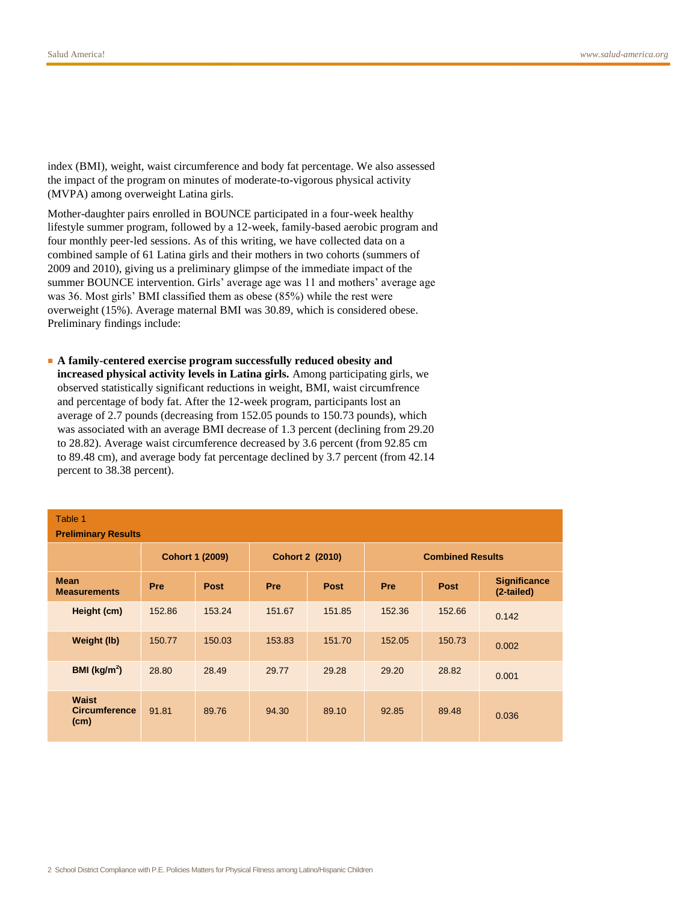index (BMI), weight, waist circumference and body fat percentage. We also assessed the impact of the program on minutes of moderate-to-vigorous physical activity (MVPA) among overweight Latina girls.

Mother-daughter pairs enrolled in BOUNCE participated in a four-week healthy lifestyle summer program, followed by a 12-week, family-based aerobic program and four monthly peer-led sessions. As of this writing, we have collected data on a combined sample of 61 Latina girls and their mothers in two cohorts (summers of 2009 and 2010), giving us a preliminary glimpse of the immediate impact of the summer BOUNCE intervention. Girls' average age was 11 and mothers' average age was 36. Most girls' BMI classified them as obese (85%) while the rest were overweight (15%). Average maternal BMI was 30.89, which is considered obese. Preliminary findings include:

■ **A family-centered exercise program successfully reduced obesity and** 

**increased physical activity levels in Latina girls.** Among participating girls, we observed statistically significant reductions in weight, BMI, waist circumfrence and percentage of body fat. After the 12-week program, participants lost an average of 2.7 pounds (decreasing from 152.05 pounds to 150.73 pounds), which was associated with an average BMI decrease of 1.3 percent (declining from 29.20 to 28.82). Average waist circumference decreased by 3.6 percent (from 92.85 cm to 89.48 cm), and average body fat percentage declined by 3.7 percent (from 42.14 percent to 38.38 percent).

| Table 1<br><b>Preliminary Results</b>        |                        |             |                        |             |                         |             |                                   |
|----------------------------------------------|------------------------|-------------|------------------------|-------------|-------------------------|-------------|-----------------------------------|
|                                              | <b>Cohort 1 (2009)</b> |             | <b>Cohort 2 (2010)</b> |             | <b>Combined Results</b> |             |                                   |
| <b>Mean</b><br><b>Measurements</b>           | <b>Pre</b>             | <b>Post</b> | <b>Pre</b>             | <b>Post</b> | Pre                     | <b>Post</b> | <b>Significance</b><br>(2-tailed) |
| Height (cm)                                  | 152.86                 | 153.24      | 151.67                 | 151.85      | 152.36                  | 152.66      | 0.142                             |
| Weight (lb)                                  | 150.77                 | 150.03      | 153.83                 | 151.70      | 152.05                  | 150.73      | 0.002                             |
| BMI ( $\text{kg/m}^2$ )                      | 28.80                  | 28.49       | 29.77                  | 29.28       | 29.20                   | 28.82       | 0.001                             |
| <b>Waist</b><br><b>Circumference</b><br>(cm) | 91.81                  | 89.76       | 94.30                  | 89.10       | 92.85                   | 89.48       | 0.036                             |